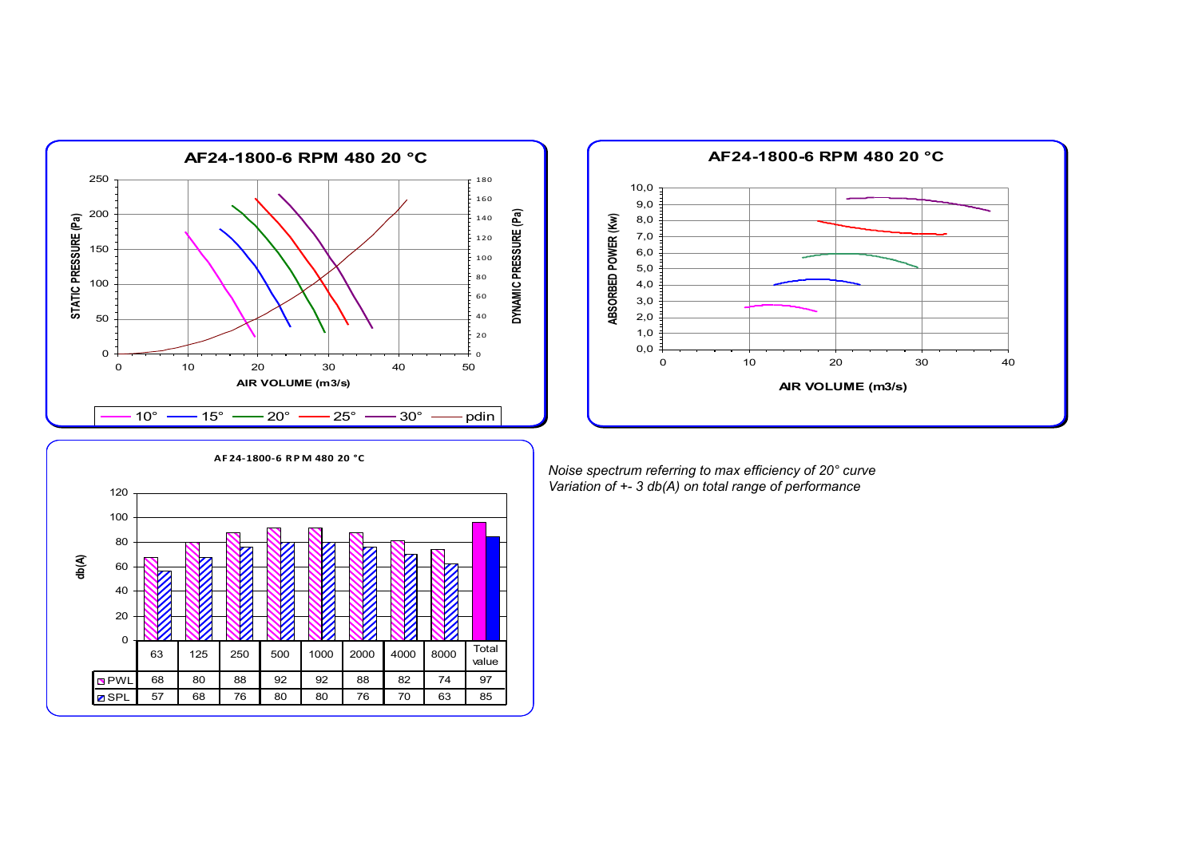



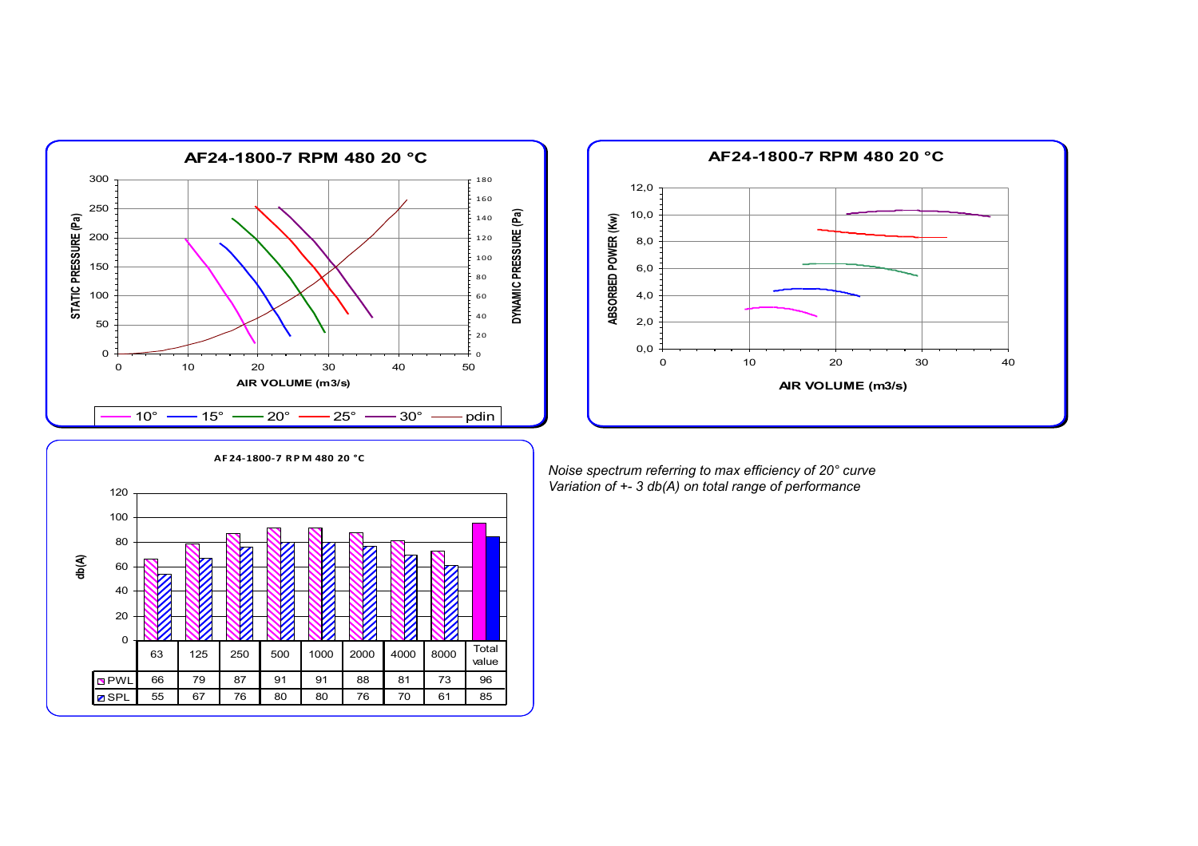



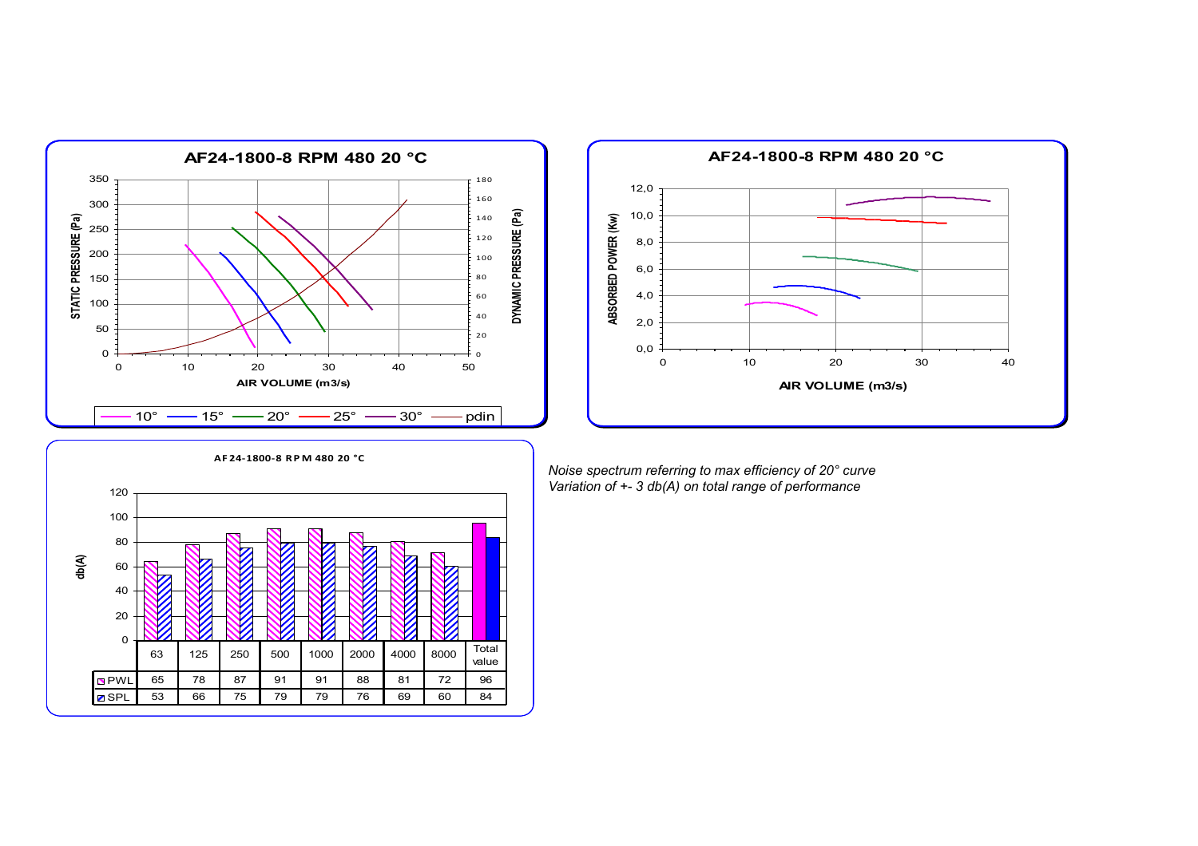



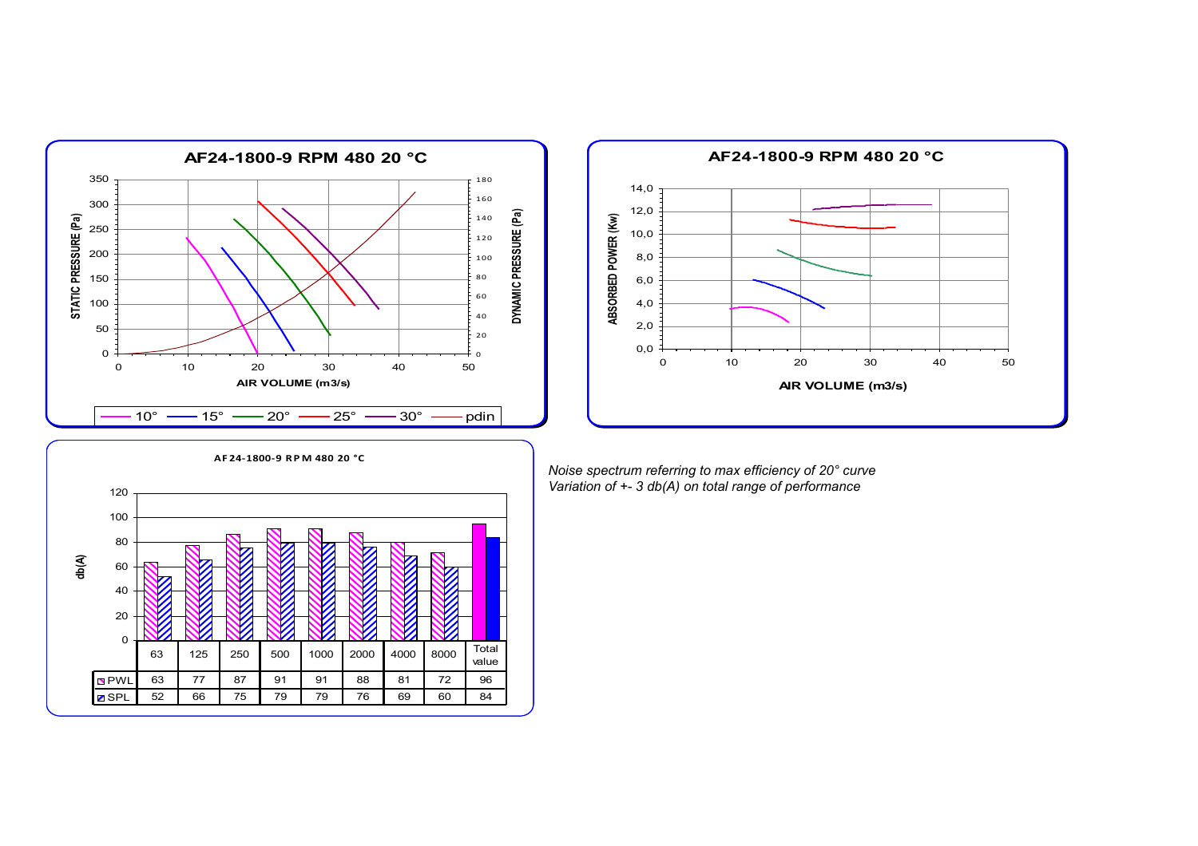



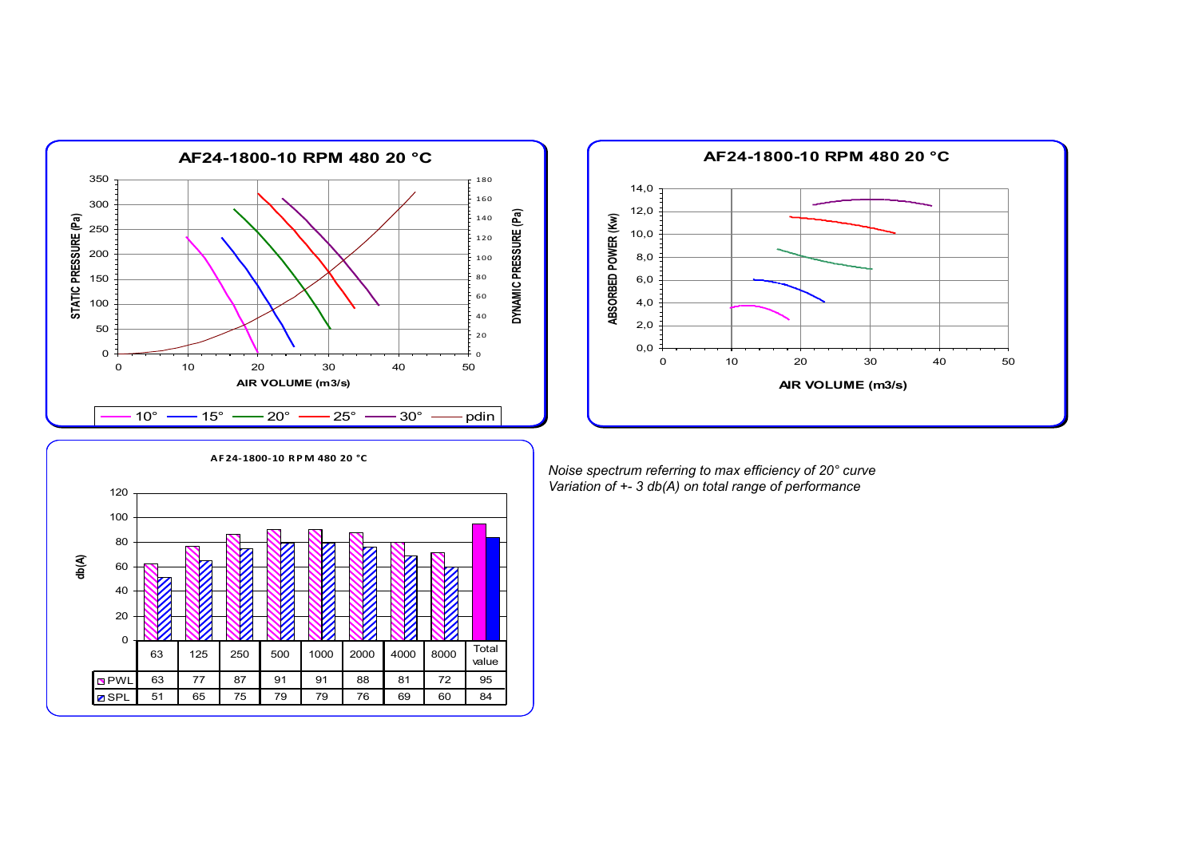



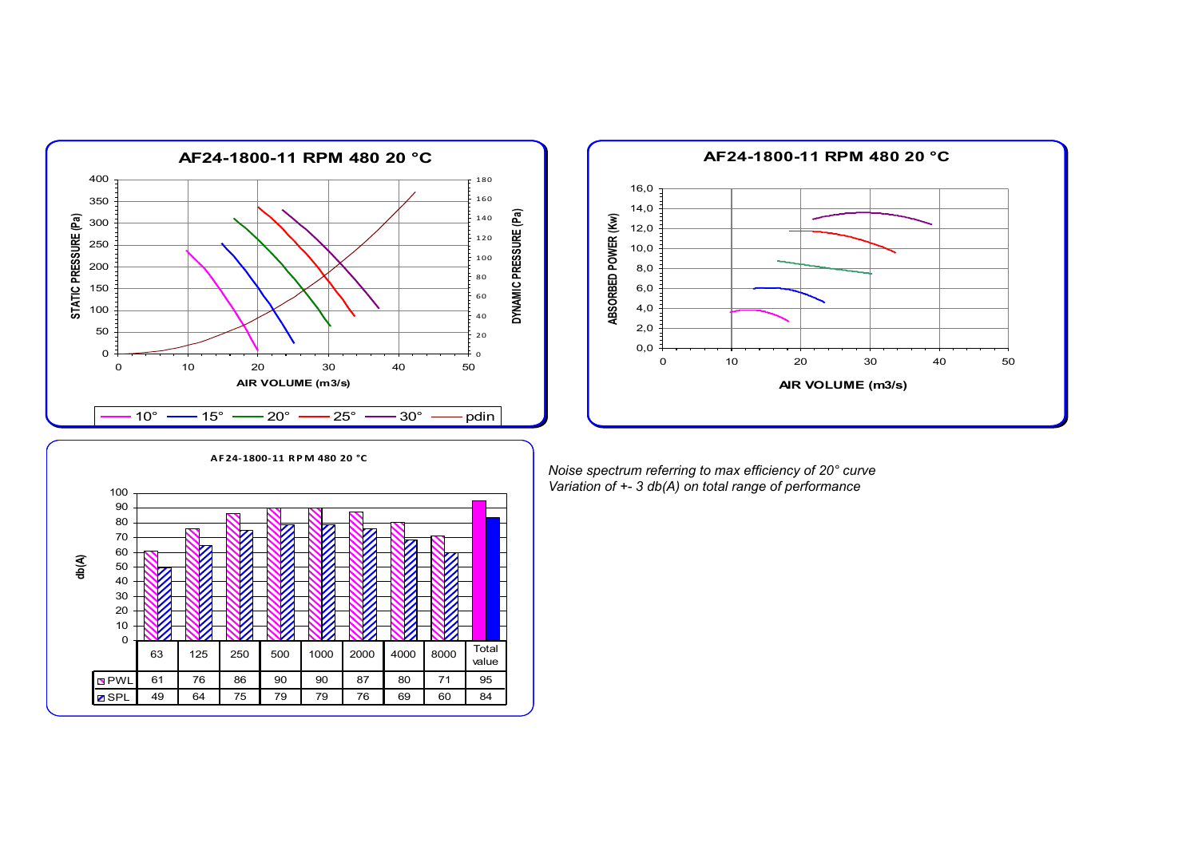